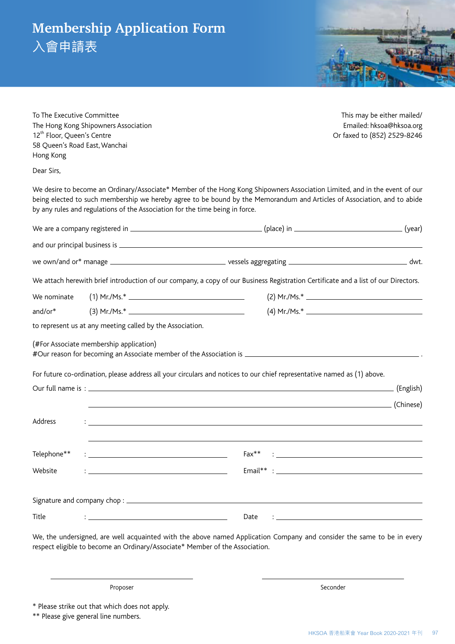## **Membership Application Form**

入會申請表



To The Executive Committee This may be either mailed/ The Hong Kong Shipowners Association **Emailed:** hksoa@hksoa.org 12<sup>th</sup> Floor, Queen's Centre **Or faxed to (852)** 2529-8246 58 Queen's Road East, Wanchai Hong Kong

Dear Sirs,

We desire to become an Ordinary/Associate\* Member of the Hong Kong Shipowners Association Limited, and in the event of our being elected to such membership we hereby agree to be bound by the Memorandum and Articles of Association, and to abide by any rules and regulations of the Association for the time being in force.

|             | We attach herewith brief introduction of our company, a copy of our Business Registration Certificate and a list of our Directors.                                                                                                            |      |  |
|-------------|-----------------------------------------------------------------------------------------------------------------------------------------------------------------------------------------------------------------------------------------------|------|--|
| We nominate |                                                                                                                                                                                                                                               |      |  |
| and/or*     |                                                                                                                                                                                                                                               |      |  |
|             | to represent us at any meeting called by the Association.                                                                                                                                                                                     |      |  |
|             | (#For Associate membership application)                                                                                                                                                                                                       |      |  |
|             | For future co-ordination, please address all your circulars and notices to our chief representative named as (1) above.                                                                                                                       |      |  |
|             |                                                                                                                                                                                                                                               |      |  |
|             |                                                                                                                                                                                                                                               |      |  |
| Address     | $\frac{1}{2}$ . The contract of the contract of the contract of the contract of the contract of the contract of the contract of the contract of the contract of the contract of the contract of the contract of the contract of t             |      |  |
| Telephone** | $: \underline{\hspace{2cm}}$ . The contract of the contract of the contract of the contract of the contract of the contract of the contract of the contract of the contract of the contract of the contract of the contract of the contract o |      |  |
| Website     |                                                                                                                                                                                                                                               |      |  |
|             |                                                                                                                                                                                                                                               |      |  |
| Title       | <u> 1989 - Johann Stone, mars et al. (</u> † 1920)                                                                                                                                                                                            | Date |  |

We, the undersigned, are well acquainted with the above named Application Company and consider the same to be in every respect eligible to become an Ordinary/Associate\* Member of the Association.

Proposer Seconder Seconder Seconder Seconder Seconder Seconder Seconder Seconder

\* Please strike out that which does not apply.

\*\* Please give general line numbers.